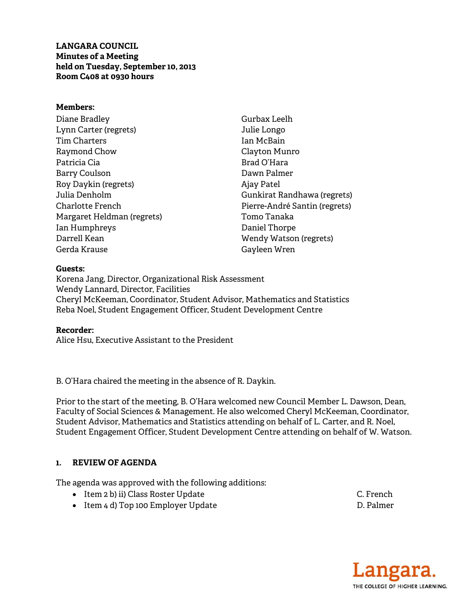**LANGARA COUNCIL Minutes of a Meeting held on Tuesday, September 10, 2013 Room C408 at 0930 hours** 

#### **Members:**

- Diane Bradley Lynn Carter (regrets) Tim Charters Raymond Chow Patricia Cia Barry Coulson Roy Daykin (regrets) Julia Denholm Charlotte French Margaret Heldman (regrets) Ian Humphreys Darrell Kean Gerda Krause
- Gurbax Leelh Julie Longo Ian McBain Clayton Munro Brad O'Hara Dawn Palmer Ajay Patel Gunkirat Randhawa (regrets) Pierre-André Santin (regrets) Tomo Tanaka Daniel Thorpe Wendy Watson (regrets) Gayleen Wren

#### **Guests:**

Korena Jang, Director, Organizational Risk Assessment Wendy Lannard, Director, Facilities Cheryl McKeeman, Coordinator, Student Advisor, Mathematics and Statistics Reba Noel, Student Engagement Officer, Student Development Centre

#### **Recorder:**

Alice Hsu, Executive Assistant to the President

B. O'Hara chaired the meeting in the absence of R. Daykin.

Prior to the start of the meeting, B. O'Hara welcomed new Council Member L. Dawson, Dean, Faculty of Social Sciences & Management. He also welcomed Cheryl McKeeman, Coordinator, Student Advisor, Mathematics and Statistics attending on behalf of L. Carter, and R. Noel, Student Engagement Officer, Student Development Centre attending on behalf of W. Watson.

#### **1. REVIEW OF AGENDA**

The agenda was approved with the following additions:

- Item 2 b) ii) Class Roster Update C. French
- Item 4 d) Top 100 Employer Update **D. Palmer** D. Palmer

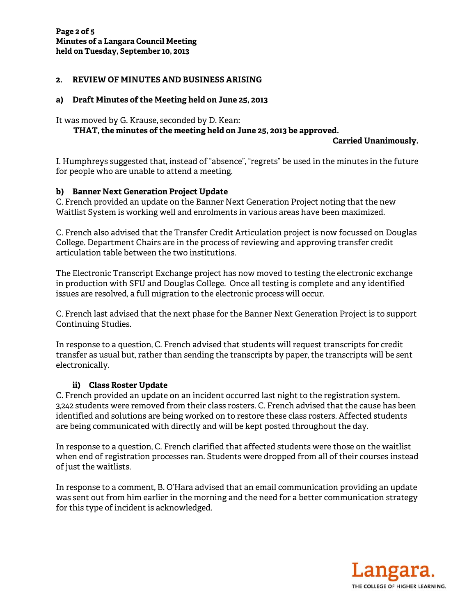### **2. REVIEW OF MINUTES AND BUSINESS ARISING**

### **a) Draft Minutes of the Meeting held on June 25, 2013**

It was moved by G. Krause, seconded by D. Kean:

#### **THAT, the minutes of the meeting held on June 25, 2013 be approved.**

**Carried Unanimously.** 

I. Humphreys suggested that, instead of "absence", "regrets" be used in the minutes in the future for people who are unable to attend a meeting.

#### **b) Banner Next Generation Project Update**

C. French provided an update on the Banner Next Generation Project noting that the new Waitlist System is working well and enrolments in various areas have been maximized.

C. French also advised that the Transfer Credit Articulation project is now focussed on Douglas College. Department Chairs are in the process of reviewing and approving transfer credit articulation table between the two institutions.

The Electronic Transcript Exchange project has now moved to testing the electronic exchange in production with SFU and Douglas College. Once all testing is complete and any identified issues are resolved, a full migration to the electronic process will occur.

C. French last advised that the next phase for the Banner Next Generation Project is to support Continuing Studies.

In response to a question, C. French advised that students will request transcripts for credit transfer as usual but, rather than sending the transcripts by paper, the transcripts will be sent electronically.

#### **ii) Class Roster Update**

C. French provided an update on an incident occurred last night to the registration system. 3,242 students were removed from their class rosters. C. French advised that the cause has been identified and solutions are being worked on to restore these class rosters. Affected students are being communicated with directly and will be kept posted throughout the day.

In response to a question, C. French clarified that affected students were those on the waitlist when end of registration processes ran. Students were dropped from all of their courses instead of just the waitlists.

In response to a comment, B. O'Hara advised that an email communication providing an update was sent out from him earlier in the morning and the need for a better communication strategy for this type of incident is acknowledged.

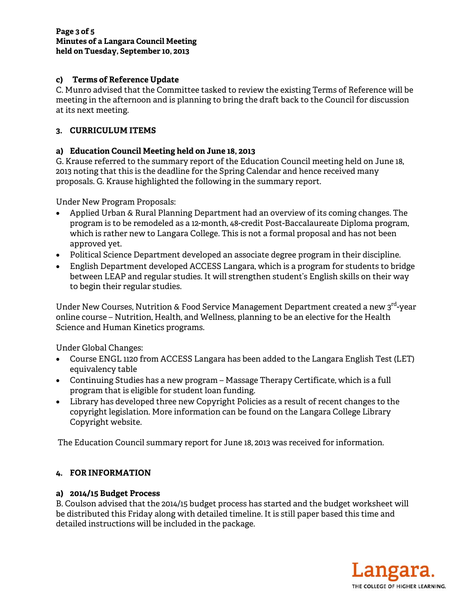### **c) Terms of Reference Update**

C. Munro advised that the Committee tasked to review the existing Terms of Reference will be meeting in the afternoon and is planning to bring the draft back to the Council for discussion at its next meeting.

## **3. CURRICULUM ITEMS**

### **a) Education Council Meeting held on June 18, 2013**

G. Krause referred to the summary report of the Education Council meeting held on June 18, 2013 noting that this is the deadline for the Spring Calendar and hence received many proposals. G. Krause highlighted the following in the summary report.

Under New Program Proposals:

- Applied Urban & Rural Planning Department had an overview of its coming changes. The program is to be remodeled as a 12-month, 48-credit Post-Baccalaureate Diploma program, which is rather new to Langara College. This is not a formal proposal and has not been approved yet.
- Political Science Department developed an associate degree program in their discipline.
- English Department developed ACCESS Langara, which is a program for students to bridge between LEAP and regular studies. It will strengthen student's English skills on their way to begin their regular studies.

Under New Courses, Nutrition & Food Service Management Department created a new 3<sup>rd</sup>-year online course – Nutrition, Health, and Wellness, planning to be an elective for the Health Science and Human Kinetics programs.

Under Global Changes:

- Course ENGL 1120 from ACCESS Langara has been added to the Langara English Test (LET) equivalency table
- Continuing Studies has a new program Massage Therapy Certificate, which is a full program that is eligible for student loan funding.
- Library has developed three new Copyright Policies as a result of recent changes to the copyright legislation. More information can be found on the Langara College Library Copyright website.

The Education Council summary report for June 18, 2013 was received for information.

# **4. FOR INFORMATION**

### **a) 2014/15 Budget Process**

B. Coulson advised that the 2014/15 budget process has started and the budget worksheet will be distributed this Friday along with detailed timeline. It is still paper based this time and detailed instructions will be included in the package.

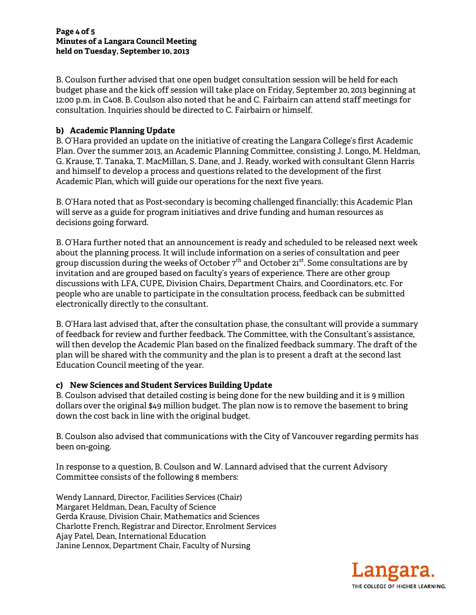B. Coulson further advised that one open budget consultation session will be held for each budget phase and the kick off session will take place on Friday, September 20, 2013 beginning at 12:00 p.m. in C408. B. Coulson also noted that he and C. Fairbairn can attend staff meetings for consultation. Inquiries should be directed to C. Fairbairn or himself.

### **b) Academic Planning Update**

B. O'Hara provided an update on the initiative of creating the Langara College's first Academic Plan. Over the summer 2013, an Academic Planning Committee, consisting J. Longo, M. Heldman, G. Krause, T. Tanaka, T. MacMillan, S. Dane, and J. Ready, worked with consultant Glenn Harris and himself to develop a process and questions related to the development of the first Academic Plan, which will guide our operations for the next five years.

B. O'Hara noted that as Post-secondary is becoming challenged financially; this Academic Plan will serve as a guide for program initiatives and drive funding and human resources as decisions going forward.

B. O'Hara further noted that an announcement is ready and scheduled to be released next week about the planning process. It will include information on a series of consultation and peer group discussion during the weeks of October  $7<sup>th</sup>$  and October 21<sup>st</sup>. Some consultations are by invitation and are grouped based on faculty's years of experience. There are other group discussions with LFA, CUPE, Division Chairs, Department Chairs, and Coordinators, etc. For people who are unable to participate in the consultation process, feedback can be submitted electronically directly to the consultant.

B. O'Hara last advised that, after the consultation phase, the consultant will provide a summary of feedback for review and further feedback. The Committee, with the Consultant's assistance, will then develop the Academic Plan based on the finalized feedback summary. The draft of the plan will be shared with the community and the plan is to present a draft at the second last Education Council meeting of the year.

### **c) New Sciences and Student Services Building Update**

B. Coulson advised that detailed costing is being done for the new building and it is 9 million dollars over the original \$49 million budget. The plan now is to remove the basement to bring down the cost back in line with the original budget.

B. Coulson also advised that communications with the City of Vancouver regarding permits has been on-going.

In response to a question, B. Coulson and W. Lannard advised that the current Advisory Committee consists of the following 8 members:

Wendy Lannard, Director, Facilities Services (Chair) Margaret Heldman, Dean, Faculty of Science Gerda Krause, Division Chair, Mathematics and Sciences Charlotte French, Registrar and Director, Enrolment Services Ajay Patel, Dean, International Education Janine Lennox, Department Chair, Faculty of Nursing